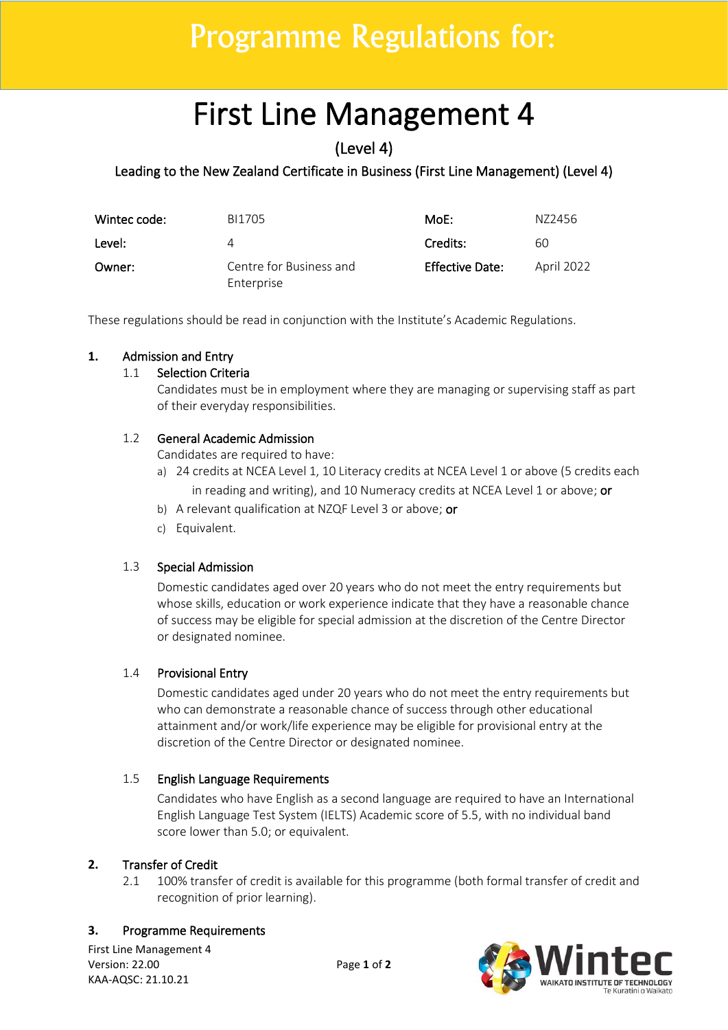## Programme Regulations for:

# First Line Management 4

(Level 4)

## Leading to the New Zealand Certificate in Business (First Line Management) (Level 4)

| Wintec code: | BI1705                                | MoE:            | N72456     |
|--------------|---------------------------------------|-----------------|------------|
| Level:       | 4                                     | Credits:        | 60         |
| Owner:       | Centre for Business and<br>Enterprise | Effective Date: | April 2022 |

These regulations should be read in conjunction with the Institute's Academic Regulations.

## **1.** Admission and Entry

#### 1.1 Selection Criteria

Candidates must be in employment where they are managing or supervising staff as part of their everyday responsibilities.

## 1.2 General Academic Admission

Candidates are required to have:

- a) 24 credits at NCEA Level 1, 10 Literacy credits at NCEA Level 1 or above (5 credits each in reading and writing), and 10 Numeracy credits at NCEA Level 1 or above; or
- b) A relevant qualification at NZQF Level 3 or above; or
- c) Equivalent.

## 1.3 Special Admission

Domestic candidates aged over 20 years who do not meet the entry requirements but whose skills, education or work experience indicate that they have a reasonable chance of success may be eligible for special admission at the discretion of the Centre Director or designated nominee.

## 1.4 Provisional Entry

Domestic candidates aged under 20 years who do not meet the entry requirements but who can demonstrate a reasonable chance of success through other educational attainment and/or work/life experience may be eligible for provisional entry at the discretion of the Centre Director or designated nominee.

#### 1.5 English Language Requirements

Candidates who have English as a second language are required to have an International English Language Test System (IELTS) Academic score of 5.5, with no individual band score lower than 5.0; or equivalent.

#### **2.** Transfer of Credit

2.1 100% transfer of credit is available for this programme (both formal transfer of credit and recognition of prior learning).

#### **3.** Programme Requirements

First Line Management 4 Version: 22.00 Page **1** of **2** KAA-AQSC: 21.10.21